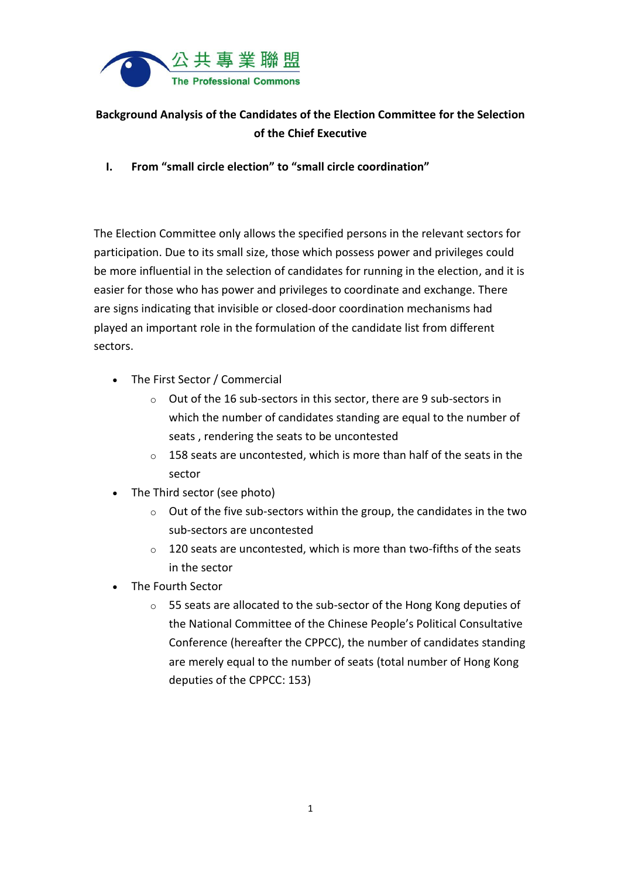

## **Background Analysis of the Candidates of the Election Committee for the Selection of the Chief Executive**

**I. From "small circle election" to "small circle coordination"**

The Election Committee only allows the specified persons in the relevant sectors for participation. Due to its small size, those which possess power and privileges could be more influential in the selection of candidates for running in the election, and it is easier for those who has power and privileges to coordinate and exchange. There are signs indicating that invisible or closed-door coordination mechanisms had played an important role in the formulation of the candidate list from different sectors.

- The First Sector / Commercial
	- o Out of the 16 sub-sectors in this sector, there are 9 sub-sectors in which the number of candidates standing are equal to the number of seats , rendering the seats to be uncontested
	- o 158 seats are uncontested, which is more than half of the seats in the sector
- The Third sector (see photo)
	- $\circ$  Out of the five sub-sectors within the group, the candidates in the two sub-sectors are uncontested
	- $\circ$  120 seats are uncontested, which is more than two-fifths of the seats in the sector
- The Fourth Sector
	- o 55 seats are allocated to the sub-sector of the Hong Kong deputies of the National Committee of the Chinese People's Political Consultative Conference (hereafter the CPPCC), the number of candidates standing are merely equal to the number of seats (total number of Hong Kong deputies of the CPPCC: 153)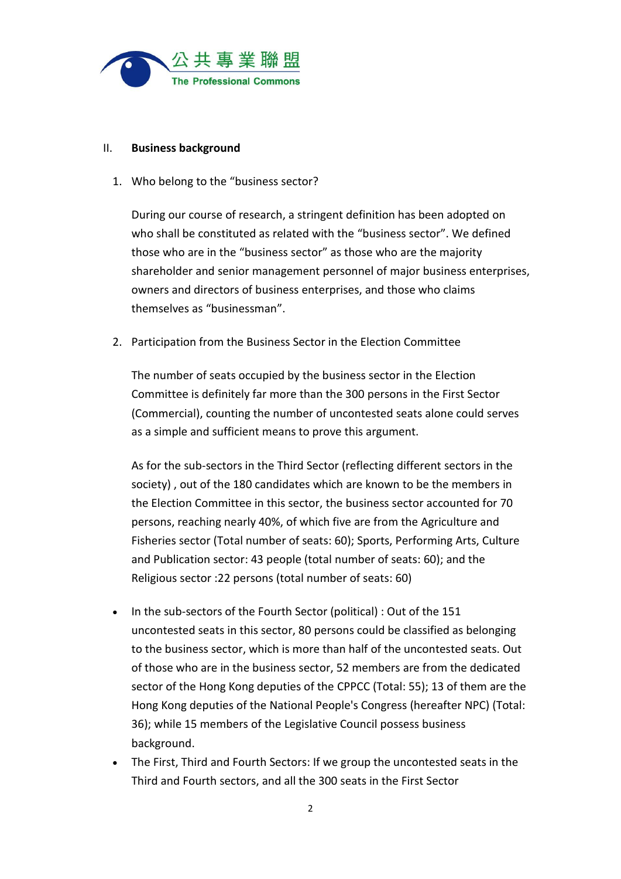

## II. **Business background**

1. Who belong to the "business sector?

During our course of research, a stringent definition has been adopted on who shall be constituted as related with the "business sector". We defined those who are in the "business sector" as those who are the majority shareholder and senior management personnel of major business enterprises, owners and directors of business enterprises, and those who claims themselves as "businessman".

2. Participation from the Business Sector in the Election Committee

The number of seats occupied by the business sector in the Election Committee is definitely far more than the 300 persons in the First Sector (Commercial), counting the number of uncontested seats alone could serves as a simple and sufficient means to prove this argument.

As for the sub-sectors in the Third Sector (reflecting different sectors in the society) , out of the 180 candidates which are known to be the members in the Election Committee in this sector, the business sector accounted for 70 persons, reaching nearly 40%, of which five are from the Agriculture and Fisheries sector (Total number of seats: 60); Sports, Performing Arts, Culture and Publication sector: 43 people (total number of seats: 60); and the Religious sector :22 persons (total number of seats: 60)

- In the sub-sectors of the Fourth Sector (political) : Out of the 151 uncontested seats in this sector, 80 persons could be classified as belonging to the business sector, which is more than half of the uncontested seats. Out of those who are in the business sector, 52 members are from the dedicated sector of the Hong Kong deputies of the CPPCC (Total: 55); 13 of them are the Hong Kong deputies of the National People's Congress (hereafter NPC) (Total: 36); while 15 members of the Legislative Council possess business background.
- The First, Third and Fourth Sectors: If we group the uncontested seats in the Third and Fourth sectors, and all the 300 seats in the First Sector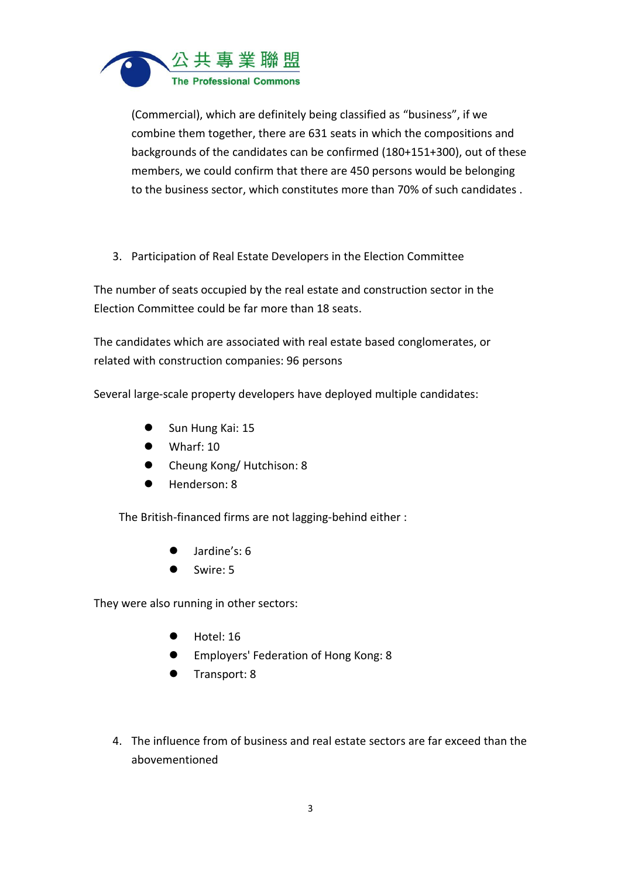

(Commercial), which are definitely being classified as "business", if we combine them together, there are 631 seats in which the compositions and backgrounds of the candidates can be confirmed (180+151+300), out of these members, we could confirm that there are 450 persons would be belonging to the business sector, which constitutes more than 70% of such candidates .

3. Participation of Real Estate Developers in the Election Committee

The number of seats occupied by the real estate and construction sector in the Election Committee could be far more than 18 seats.

The candidates which are associated with real estate based conglomerates, or related with construction companies: 96 persons

Several large-scale property developers have deployed multiple candidates:

- Sun Hung Kai: 15
- Wharf: 10
- Cheung Kong/ Hutchison: 8
- Henderson: 8

The British-financed firms are not lagging-behind either :

- Jardine's: 6
- Swire: 5

They were also running in other sectors:

- Hotel: 16
- **Employers' Federation of Hong Kong: 8**
- Transport: 8
- 4. The influence from of business and real estate sectors are far exceed than the abovementioned